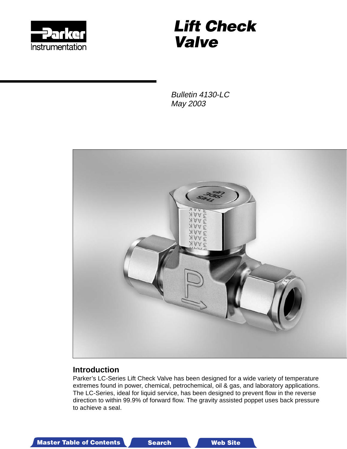

# **Lift Check Valve**

Bulletin 4130-LC May 2003



#### **Introduction**

Parker's LC-Series Lift Check Valve has been designed for a wide variety of temperature extremes found in power, chemical, petrochemical, oil & gas, and laboratory applications. The LC-Series, ideal for liquid service, has been designed to prevent flow in the reverse direction to within 99.9% of forward flow. The gravity assisted poppet uses back pressure to achieve a seal.

Master Table of Contents **3-D Drawings Search Master Table of Contents 3-D Drawings Search Master T**